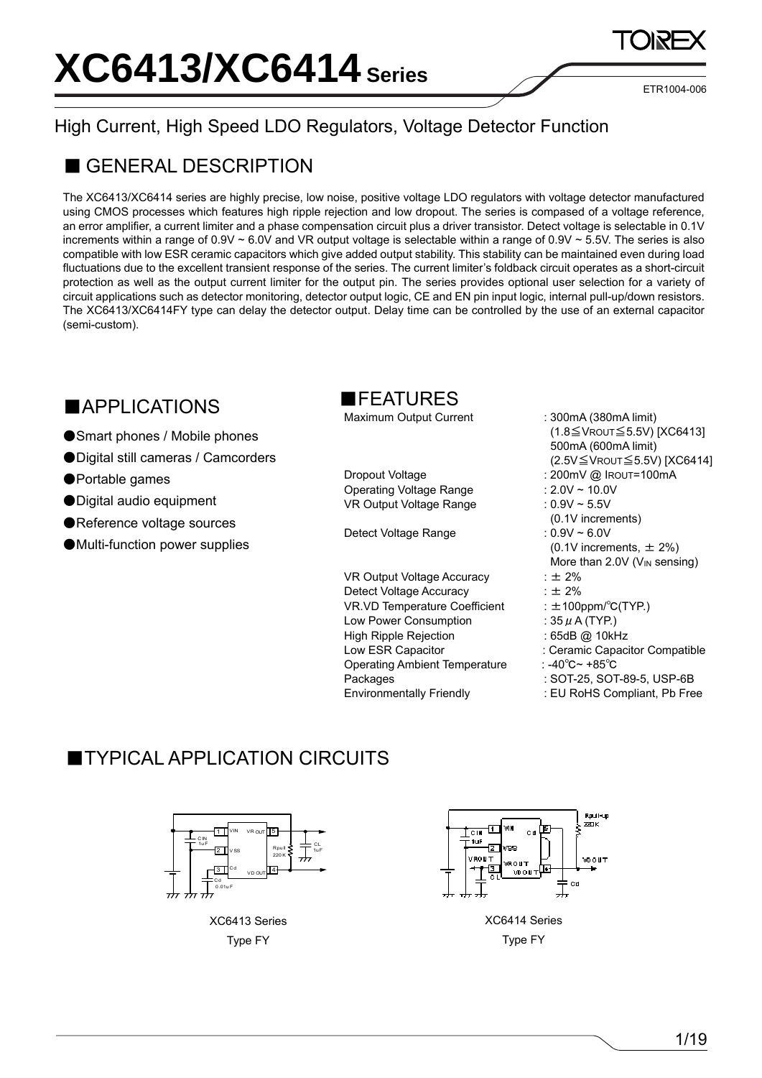ETR1004-006

## High Current, High Speed LDO Regulators, Voltage Detector Function

### ■ GENERAL DESCRIPTION

The XC6413/XC6414 series are highly precise, low noise, positive voltage LDO regulators with voltage detector manufactured using CMOS processes which features high ripple rejection and low dropout. The series is compased of a voltage reference, an error amplifier, a current limiter and a phase compensation circuit plus a driver transistor. Detect voltage is selectable in 0.1V increments within a range of  $0.9V \sim 6.0V$  and VR output voltage is selectable within a range of  $0.9V \sim 5.5V$ . The series is also compatible with low ESR ceramic capacitors which give added output stability. This stability can be maintained even during load fluctuations due to the excellent transient response of the series. The current limiter's foldback circuit operates as a short-circuit protection as well as the output current limiter for the output pin. The series provides optional user selection for a variety of circuit applications such as detector monitoring, detector output logic, CE and EN pin input logic, internal pull-up/down resistors. The XC6413/XC6414FY type can delay the detector output. Delay time can be controlled by the use of an external capacitor (semi-custom).

### ■APPLICATIONS

- Smart phones / Mobile phones
- Digital still cameras / Camcorders
- ●Portable games
- ●Digital audio equipment
- ●Reference voltage sources
- ●Multi-function power supplies

#### ■FEATURES

Maximum Output Current : 300mA (380mA limit)

Operating Voltage Range : 2.0V ~ 10.0V VR Output Voltage Range : 0.9V ~ 5.5V

Detect Voltage Range : 0.9V ~ 6.0V

VR Output Voltage Accuracy :  $\pm 2\%$ Detect Voltage Accuracy :  $\pm 2\%$ VR.VD Temperature Coefficient : ±100ppm/°C(TYP.) Low Power Consumption :  $35 \mu$  A (TYP.) High Ripple Rejection : 65dB @ 10kHz Low ESR Capacitor : Ceramic Capacitor Compatible Operating Ambient Temperature : -40℃~ +85℃ Packages Environmentally Friendly

- (1.8≦VROUT≦5.5V) [XC6413] 500mA (600mA limit) (2.5V≦VROUT≦5.5V) [XC6414] Dropout Voltage : 200mV @ IROUT=100mA (0.1V increments) (0.1V increments,  $\pm$  2%) More than 2.0V (V<sub>IN</sub> sensing)
	- : SOT-25, SOT-89-5, USP-6B
	- : EU RoHS Compliant, Pb Free

#### **TYPICAL APPLICATION CIRCUITS**



XC6413 Series Type FY



XC6414 Series Type FY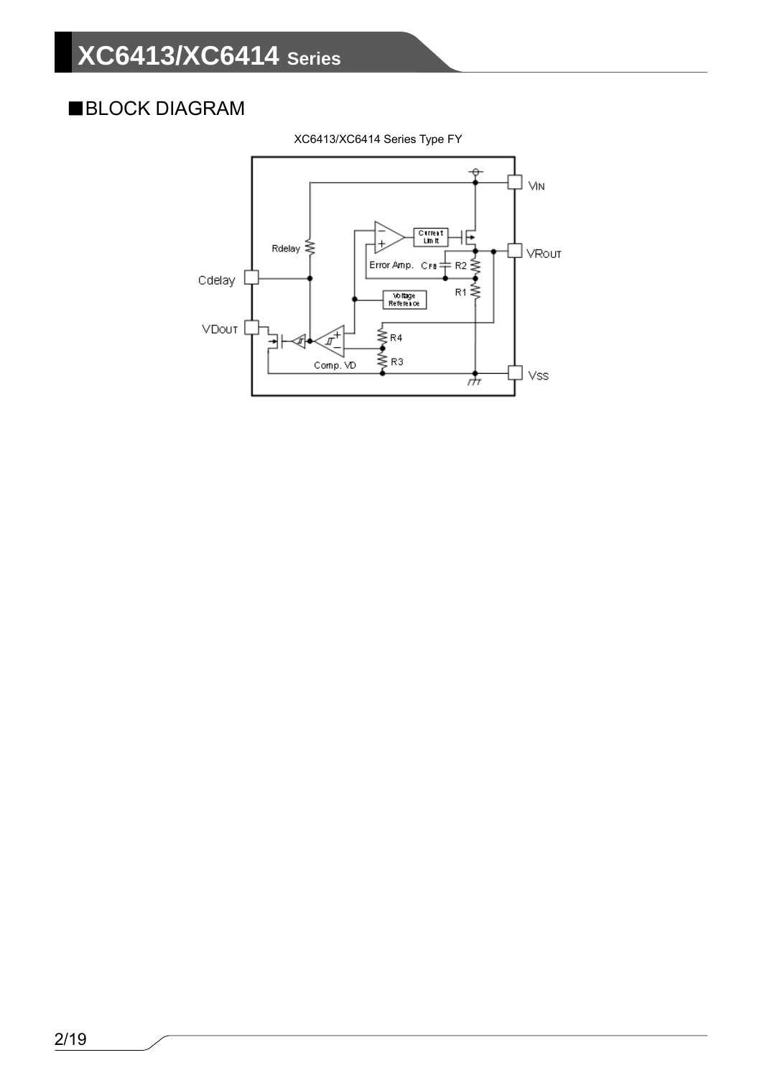## ■BLOCK DIAGRAM



XC6413/XC6414 Series Type FY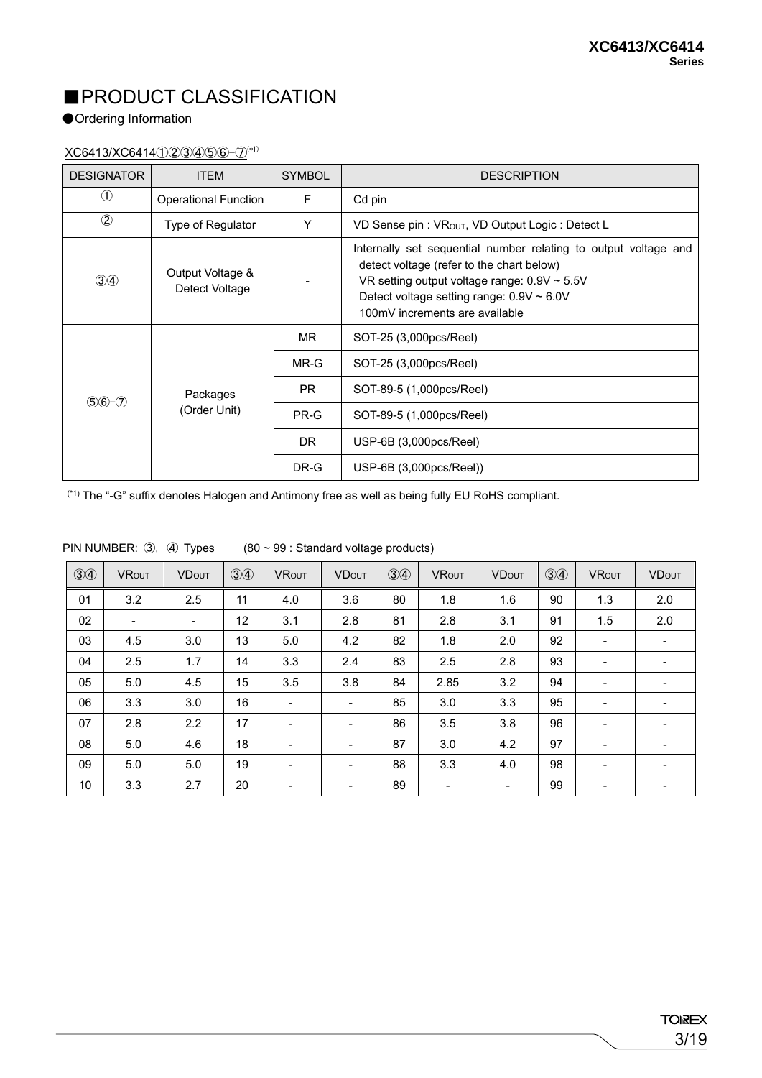## ■PRODUCT CLASSIFICATION

#### ●Ordering Information

XC6413/XC6414①②③④⑤⑥-⑦(\*1)

| <b>DESIGNATOR</b> | <b>ITEM</b>                        | <b>SYMBOL</b> | <b>DESCRIPTION</b>                                                                                                                                                                                                                                    |
|-------------------|------------------------------------|---------------|-------------------------------------------------------------------------------------------------------------------------------------------------------------------------------------------------------------------------------------------------------|
| $\left( 1\right)$ | <b>Operational Function</b>        | F             | Cd pin                                                                                                                                                                                                                                                |
| $\circled{2}$     | Type of Regulator                  | Y             | VD Sense pin: VROUT, VD Output Logic: Detect L                                                                                                                                                                                                        |
| $\circled{3}$     | Output Voltage &<br>Detect Voltage |               | Internally set sequential number relating to output voltage and<br>detect voltage (refer to the chart below)<br>VR setting output voltage range: $0.9V \sim 5.5V$<br>Detect voltage setting range: $0.9V \sim 6.0V$<br>100mV increments are available |
|                   | Packages<br>(Order Unit)           | MR.           | SOT-25 (3,000pcs/Reel)                                                                                                                                                                                                                                |
|                   |                                    | $MR-G$        | SOT-25 (3,000pcs/Reel)                                                                                                                                                                                                                                |
|                   |                                    | PR.           | SOT-89-5 (1,000pcs/Reel)                                                                                                                                                                                                                              |
| $$6 - 7$          |                                    | PR-G          | SOT-89-5 (1,000pcs/Reel)                                                                                                                                                                                                                              |
|                   |                                    | DR.           | USP-6B (3,000pcs/Reel)                                                                                                                                                                                                                                |
|                   |                                    | DR-G          | $USP-6B (3,000pcs/Reel))$                                                                                                                                                                                                                             |

(\*1) The "-G" suffix denotes Halogen and Antimony free as well as being fully EU RoHS compliant.

| (3)4            | <b>VROUT</b>             | <b>VDOUT</b>             | $\circled{3}$ | <b>VROUT</b>             | <b>VDOUT</b>             | $\circled{3}$ | <b>VROUT</b>             | <b>VDOUT</b>             | (3)4 | <b>VROUT</b> | <b>VDOUT</b> |
|-----------------|--------------------------|--------------------------|---------------|--------------------------|--------------------------|---------------|--------------------------|--------------------------|------|--------------|--------------|
| 01              | 3.2                      | 2.5                      | 11            | 4.0                      | 3.6                      | 80            | 1.8                      | 1.6                      | 90   | 1.3          | 2.0          |
| 02              | $\overline{\phantom{0}}$ | $\overline{\phantom{a}}$ | 12            | 3.1                      | 2.8                      | 81            | 2.8                      | 3.1                      | 91   | 1.5          | 2.0          |
| 03              | 4.5                      | 3.0                      | 13            | 5.0                      | 4.2                      | 82            | 1.8                      | 2.0                      | 92   | -            |              |
| 04              | 2.5                      | 1.7                      | 14            | 3.3                      | 2.4                      | 83            | 2.5                      | 2.8                      | 93   |              |              |
| 05              | 5.0                      | 4.5                      | 15            | 3.5                      | 3.8                      | 84            | 2.85                     | 3.2                      | 94   | -            |              |
| 06              | 3.3                      | 3.0                      | 16            | $\overline{\phantom{a}}$ | $\overline{\phantom{0}}$ | 85            | 3.0                      | 3.3                      | 95   |              |              |
| 07              | 2.8                      | 2.2                      | 17            | $\overline{\phantom{a}}$ | ۰.                       | 86            | 3.5                      | 3.8                      | 96   | -            |              |
| 08              | 5.0                      | 4.6                      | 18            | $\overline{\phantom{a}}$ | $\overline{\phantom{0}}$ | 87            | 3.0                      | 4.2                      | 97   |              |              |
| 09              | 5.0                      | 5.0                      | 19            | $\overline{\phantom{a}}$ | $\overline{\phantom{0}}$ | 88            | 3.3                      | 4.0                      | 98   | -            |              |
| 10 <sup>°</sup> | 3.3                      | 2.7                      | 20            | -                        | $\overline{\phantom{0}}$ | 89            | $\overline{\phantom{a}}$ | $\overline{\phantom{a}}$ | 99   |              |              |

PIN NUMBER:  $(3)$ ,  $(4)$  Types  $(80 \sim 99 :$  Standard voltage products)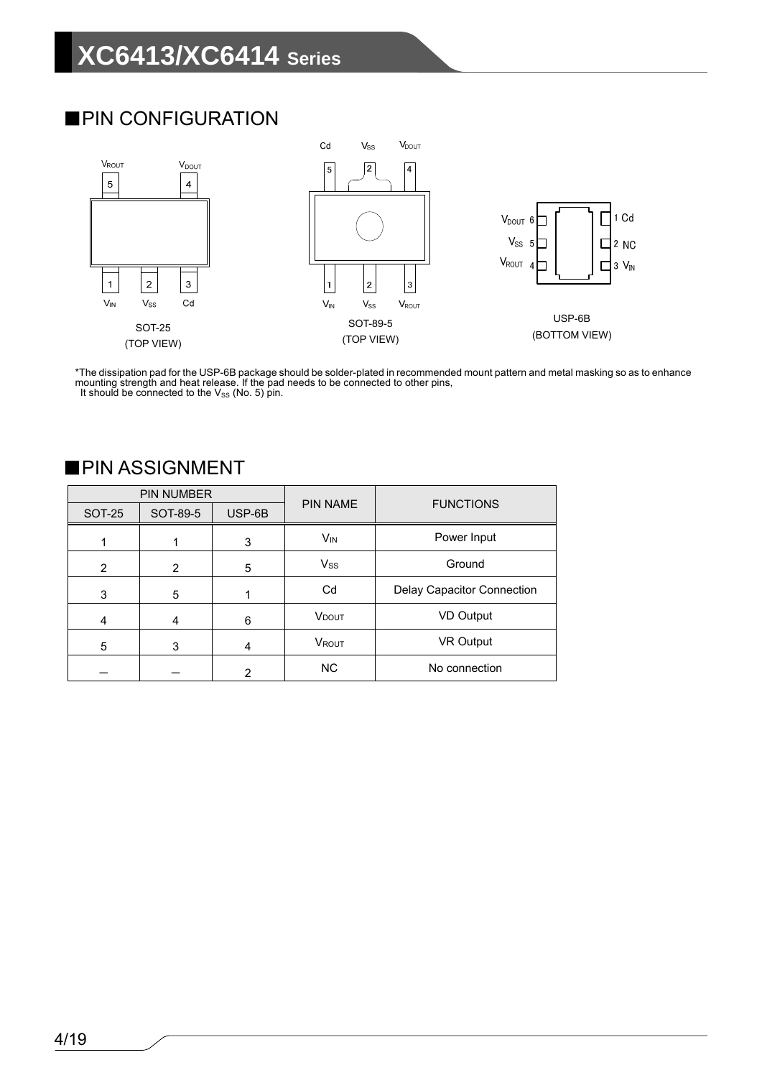### ■PIN CONFIGURATION



\*The dissipation pad for the USP-6B package should be solder-plated in recommended mount pattern and metal masking so as to enhance mounting strength and heat release. If the pad needs to be connected to other pins, It should be connected to the  $V_{SS}$  (No. 5) pin.

|               | PIN NUMBER |        | <b>PIN NAME</b>          | <b>FUNCTIONS</b>           |
|---------------|------------|--------|--------------------------|----------------------------|
| <b>SOT-25</b> | SOT-89-5   | USP-6B |                          |                            |
|               |            | 3      | $V_{IN}$                 | Power Input                |
| 2             | 2          | 5      | <b>Vss</b>               | Ground                     |
| 3             | 5          |        | Cd                       | Delay Capacitor Connection |
| 4             | 4          | 6      | <b>V</b> <sub>DOUT</sub> | VD Output                  |
| 5             | 3          | 4      | VROUT                    | VR Output                  |
|               |            | 2      | <b>NC</b>                | No connection              |
|               |            |        |                          |                            |

#### ■PIN ASSIGNMENT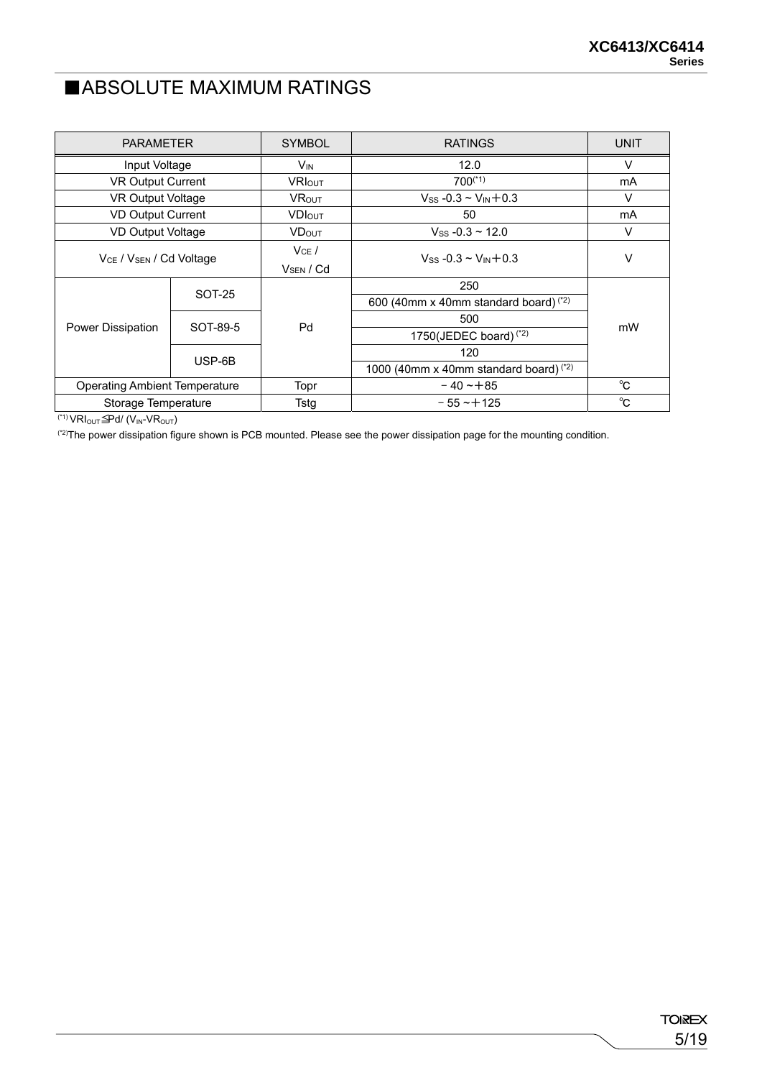### ■ABSOLUTE MAXIMUM RATINGS

| <b>PARAMETER</b>                                |          | <b>SYMBOL</b>                  | <b>RATINGS</b>                          | <b>UNIT</b> |
|-------------------------------------------------|----------|--------------------------------|-----------------------------------------|-------------|
| Input Voltage                                   |          | <b>V<sub>IN</sub></b>          | 12.0                                    | V           |
| <b>VR Output Current</b>                        |          | <b>VRIOUT</b>                  | $700^{(*1)}$                            | mA          |
| VR Output Voltage                               |          | <b>VROUT</b>                   | $V$ ss -0.3 ~ $V_{IN}$ +0.3             | V           |
| <b>VD Output Current</b>                        |          | <b>VDIOUT</b>                  | 50                                      | mA          |
| VD Output Voltage                               |          | <b>VDOUT</b>                   | $V_{SS}$ -0.3 ~ 12.0                    | V           |
| V <sub>CE</sub> / V <sub>SEN</sub> / Cd Voltage |          | $V_{CE}$ /<br>$V_{SEN}$ / $Cd$ | $V_{SS}$ -0.3 ~ $V_{IN}$ +0.3           | V           |
|                                                 | SOT-25   |                                | 250                                     |             |
|                                                 |          |                                | 600 (40mm x 40mm standard board) $(2)$  |             |
|                                                 | SOT-89-5 | Pd                             | 500                                     | mW          |
| Power Dissipation                               |          |                                | 1750(JEDEC board) $(2)$                 |             |
|                                                 | USP-6B   |                                | 120                                     |             |
|                                                 |          |                                | 1000 (40mm x 40mm standard board) $(2)$ |             |
| <b>Operating Ambient Temperature</b>            |          | Topr                           | $-40 - +85$                             | °C          |
| Storage Temperature                             |          | Tstg                           | $-55 - +125$                            | °C          |

 $\overline{(\text{M})\text{VRI}_{\text{OUT}}\triangleq}$ Pd/  $\overline{(\text{V}_{\text{IN}}\text{VRI}_{\text{OUT}})}$ 

(2)The power dissipation figure shown is PCB mounted. Please see the power dissipation page for the mounting condition.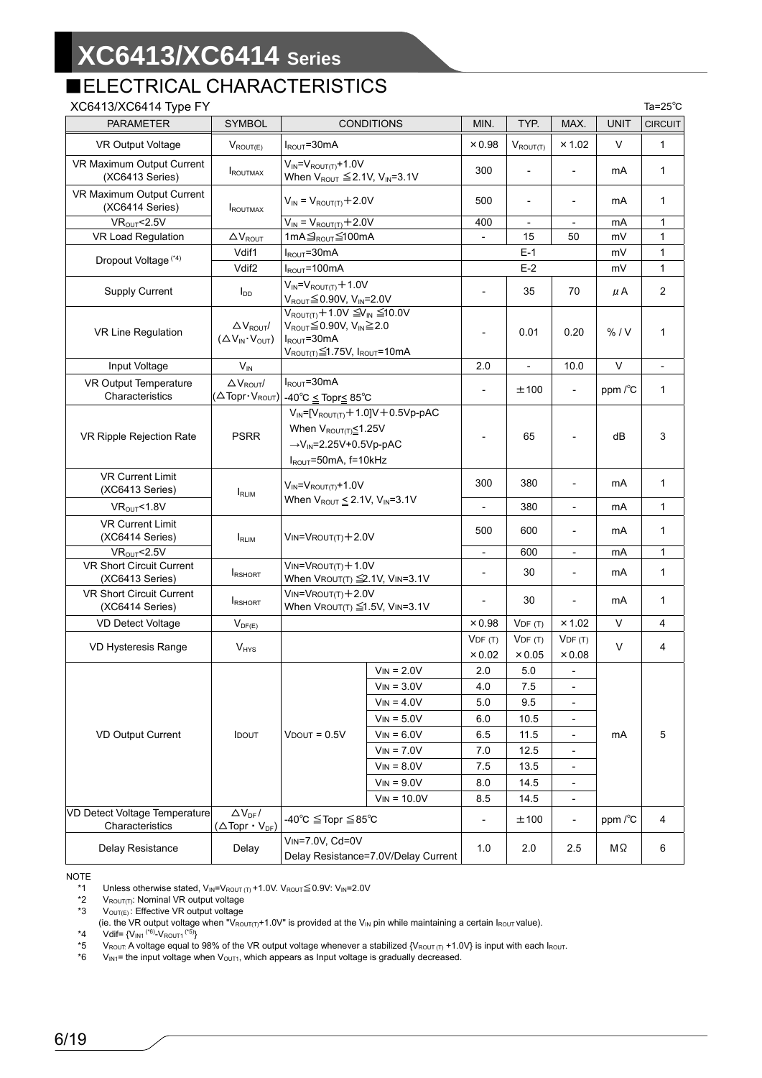## ■ELECTRICAL CHARACTERISTICS

| XC6413/XC6414 Type FY                            |                                                                             |                                                                                                                                                                      |                   |                          |                          |                          |                 | Ta= $25^{\circ}$ C |
|--------------------------------------------------|-----------------------------------------------------------------------------|----------------------------------------------------------------------------------------------------------------------------------------------------------------------|-------------------|--------------------------|--------------------------|--------------------------|-----------------|--------------------|
| <b>PARAMETER</b>                                 | <b>SYMBOL</b>                                                               |                                                                                                                                                                      | <b>CONDITIONS</b> | MIN.                     | TYP.                     | MAX.                     | <b>UNIT</b>     | <b>CIRCUIT</b>     |
| <b>VR Output Voltage</b>                         | $V_{ROUT(E)}$                                                               | $I_{ROUT}$ =30mA                                                                                                                                                     |                   | $\times 0.98$            | $V_{ROUT(T)}$            | × 1.02                   | V               | $\mathbf{1}$       |
| VR Maximum Output Current<br>(XC6413 Series)     | <b>IROUTMAX</b>                                                             | $V_{IN} = V_{ROUT(T)} + 1.0V$<br>When $V_{ROUT} \leq 2.1V$ , $V_{IN} = 3.1V$                                                                                         |                   | 300                      |                          | $\overline{\phantom{a}}$ | mA              | $\mathbf{1}$       |
| VR Maximum Output Current<br>(XC6414 Series)     | <b>ROUTMAX</b>                                                              | $V_{IN} = V_{ROUT(T)} + 2.0V$                                                                                                                                        |                   | 500                      | $\overline{a}$           | $\overline{\phantom{a}}$ | mA              | 1                  |
| VR <sub>OUT</sub> < 2.5V                         |                                                                             | $V_{IN} = V_{ROUT(T)} + 2.0V$                                                                                                                                        |                   | 400                      | $\overline{\phantom{a}}$ | $\overline{\phantom{a}}$ | mA              | $\mathbf{1}$       |
| VR Load Regulation                               | $\Delta V_{ROUT}$                                                           | 1mA <sub>9ROUT</sub> ≤100mA                                                                                                                                          |                   | $\overline{\phantom{a}}$ | 15                       | 50                       | mV              | $\mathbf{1}$       |
| Dropout Voltage <sup>(*4)</sup>                  | Vdif1                                                                       | $I_{ROUT} = 30mA$                                                                                                                                                    |                   |                          | $E-1$                    |                          | mV              | 1                  |
|                                                  | Vdif <sub>2</sub>                                                           | $I_{ROUT} = 100mA$                                                                                                                                                   |                   |                          | $E-2$                    |                          | mV              | 1                  |
| Supply Current                                   | $I_{DD}$                                                                    | $V_{IN} = V_{ROUT(T)} + 1.0V$<br>$V_{ROUT} \leq 0.90V$ , $V_{IN} = 2.0V$                                                                                             |                   | $\overline{\phantom{a}}$ | 35                       | 70                       | μA              | $\overline{2}$     |
| VR Line Regulation                               | $\Delta V_{ROUT}$<br>$(\Delta V_{IN} \cdot V_{OUT})$                        | $V_{ROUT(T)} + 1.0V \leq V_{IN} \leq 10.0V$<br>$V_{ROUT} \leq 0.90 V$ , $V_{IN} \geq 2.0$<br>$I_{ROUT}$ =30mA<br>$V_{ROUT(T)} \leq 1.75V$ , $I_{ROUT} = 10mA$        |                   |                          | 0.01                     | 0.20                     | % / V           | 1                  |
| Input Voltage                                    | $V_{IN}$                                                                    |                                                                                                                                                                      |                   | 2.0                      | $\overline{\phantom{0}}$ | 10.0                     | V               |                    |
| VR Output Temperature<br>Characteristics         | $\Delta V_{ROUT}$<br>$(\Delta$ Topr $\cdot$ V <sub>ROUT</sub> )             | $I_{ROUT} = 30mA$<br>-40°C ≤ Topr≤ 85°C                                                                                                                              |                   |                          | ±100                     |                          | ppm $\sqrt{\}C$ | $\mathbf{1}$       |
| VR Ripple Rejection Rate                         | <b>PSRR</b>                                                                 | $V_{IN}$ =[ $V_{ROUT(T)}$ + 1.0] $V$ + 0.5 $V$ p-pAC<br>When $V_{ROUT(T)} \leq 1.25V$<br>$\rightarrow$ V <sub>IN</sub> =2.25V+0.5Vp-pAC<br>$I_{ROUT}$ =50mA, f=10kHz |                   | $\overline{\phantom{a}}$ | 65                       |                          | dB              | 3                  |
| <b>VR Current Limit</b><br>(XC6413 Series)       | RLIM                                                                        | $V_{IN} = V_{ROUT(T)} + 1.0V$<br>When $V_{ROUT} \leq 2.1V$ , $V_{IN} = 3.1V$                                                                                         |                   | 300                      | 380                      | $\overline{a}$           | mA              | $\mathbf{1}$       |
| <b>VROUT&lt;1.8V</b>                             |                                                                             |                                                                                                                                                                      |                   | $\overline{\phantom{a}}$ | 380                      | $\overline{\phantom{a}}$ | mA              | $\mathbf{1}$       |
| <b>VR Current Limit</b><br>(XC6414 Series)       | <b>IRLIM</b>                                                                | $V$ IN= $V$ ROUT $(T)$ +2.0V                                                                                                                                         |                   | 500                      | 600                      | $\overline{a}$           | mA              | $\mathbf{1}$       |
| VR <sub>OUT</sub> < 2.5V                         |                                                                             |                                                                                                                                                                      |                   | $\overline{\phantom{a}}$ | 600                      | $\blacksquare$           | mA              | $\mathbf{1}$       |
| VR Short Circuit Current<br>(XC6413 Series)      | <b>IRSHORT</b>                                                              | $V_{IN} = V_{ROUT(T)} + 1.0V$<br>When VROUT(T) ≦2.1V, VIN=3.1V                                                                                                       |                   | $\overline{\phantom{a}}$ | 30                       | $\overline{\phantom{0}}$ | mA              | $\mathbf{1}$       |
| VR Short Circuit Current<br>(XC6414 Series)      | <b>IRSHORT</b>                                                              | $V_{IN} = V_{ROUT(T)} + 2.0V$<br>When VROUT(T) ≦1.5V, VIN=3.1V                                                                                                       |                   |                          | 30                       | $\overline{a}$           | mA              | $\mathbf{1}$       |
| VD Detect Voltage                                | $V_{DF(E)}$                                                                 |                                                                                                                                                                      |                   | $\times 0.98$            | VDF(T)                   | $\times$ 1.02            | V               | 4                  |
| VD Hysteresis Range                              | <b>V<sub>HYS</sub></b>                                                      |                                                                                                                                                                      |                   | VDF(T)                   | VDF(T)                   | VDF(T)                   | $\vee$          | 4                  |
|                                                  |                                                                             |                                                                                                                                                                      |                   | $\times 0.02$            | $\times 0.05$            | $\times 0.08$            |                 |                    |
|                                                  |                                                                             |                                                                                                                                                                      | $V_{IN} = 2.0V$   | 2.0                      | 5.0                      | $\overline{\phantom{a}}$ |                 |                    |
|                                                  |                                                                             |                                                                                                                                                                      | $V_{IN} = 3.0V$   | 4.0                      | 7.5                      | $\overline{\phantom{0}}$ |                 |                    |
|                                                  |                                                                             |                                                                                                                                                                      | $V_{IN} = 4.0V$   | 5.0                      | 9.5                      |                          |                 |                    |
|                                                  |                                                                             |                                                                                                                                                                      | $V_{IN} = 5.0V$   | 6.0                      | 10.5                     | $\overline{\phantom{0}}$ |                 |                    |
| VD Output Current                                | <b>IDOUT</b>                                                                | $V$ DOUT = $0.5V$                                                                                                                                                    | $V_{IN} = 6.0V$   | 6.5                      | 11.5                     | $\overline{\phantom{a}}$ | mA              | 5                  |
|                                                  |                                                                             |                                                                                                                                                                      | $V_{IN} = 7.0V$   | 7.0                      | 12.5                     | $\overline{\phantom{a}}$ |                 |                    |
|                                                  |                                                                             |                                                                                                                                                                      | $V_{IN} = 8.0V$   | 7.5                      | 13.5                     | $\overline{\phantom{a}}$ |                 |                    |
|                                                  |                                                                             |                                                                                                                                                                      | $V_{IN} = 9.0V$   | 8.0                      | 14.5                     | $\frac{1}{2}$            |                 |                    |
|                                                  |                                                                             |                                                                                                                                                                      | $V_{IN} = 10.0V$  | 8.5                      | 14.5                     | $\overline{\phantom{a}}$ |                 |                    |
| VD Detect Voltage Temperature<br>Characteristics | $\Delta \rm {V}_{\rm DF}/$<br>$(\triangle \text{Topr} \cdot V_{\text{DF}})$ | -40°C $\leq$ Topr $\leq$ 85°C                                                                                                                                        |                   | $\overline{\phantom{m}}$ | ±100                     | $\overline{\phantom{a}}$ | ppm /°C         | 4                  |
| Delay Resistance                                 | Delay                                                                       | VIN=7.0V, Cd=0V<br>Delay Resistance=7.0V/Delay Current                                                                                                               |                   | 1.0                      | 2.0                      | 2.5                      | ΜΩ              | 6                  |

NOTE<br>\*1

\*1 Unless otherwise stated,  $V_{IN} = V_{ROUT(T)} + 1.0V$ . V<sub>ROUT</sub>  $\leq$  0.9V: V<sub>IN</sub>=2.0V<br>\*2 V<sub>ROUT(T)</sub>: Nominal VR output voltage

\*2 VROUT(T): Nominal VR output voltage<br>\*3 VOUT(E): Effective VR output voltage  $V_{\text{OUT}(E)}$ : Effective VR output voltage

\*4  $V$ dif= {V<sub>IN1</sub> (\*6)<sub>-</sub>V<sub>ROUT1</sub> (\*5)<sub>}</sub><br>\*5 V<sub>ROUT:</sub> A voltage equal to \*5 V<sub>ROUT:</sub> A voltage equal to 98% of the VR output voltage whenever a stabilized {V<sub>ROUT (T)</sub> +1.0V} is input with each I<sub>ROUT</sub>.

 $V_{\text{IN1}}$  = the input voltage when  $V_{\text{OUT1}}$ , which appears as Input voltage is gradually decreased.

<sup>(</sup>ie. the VR output voltage when "VROUT(T)+1.0V" is provided at the V<sub>IN</sub> pin while maintaining a certain IROUT value).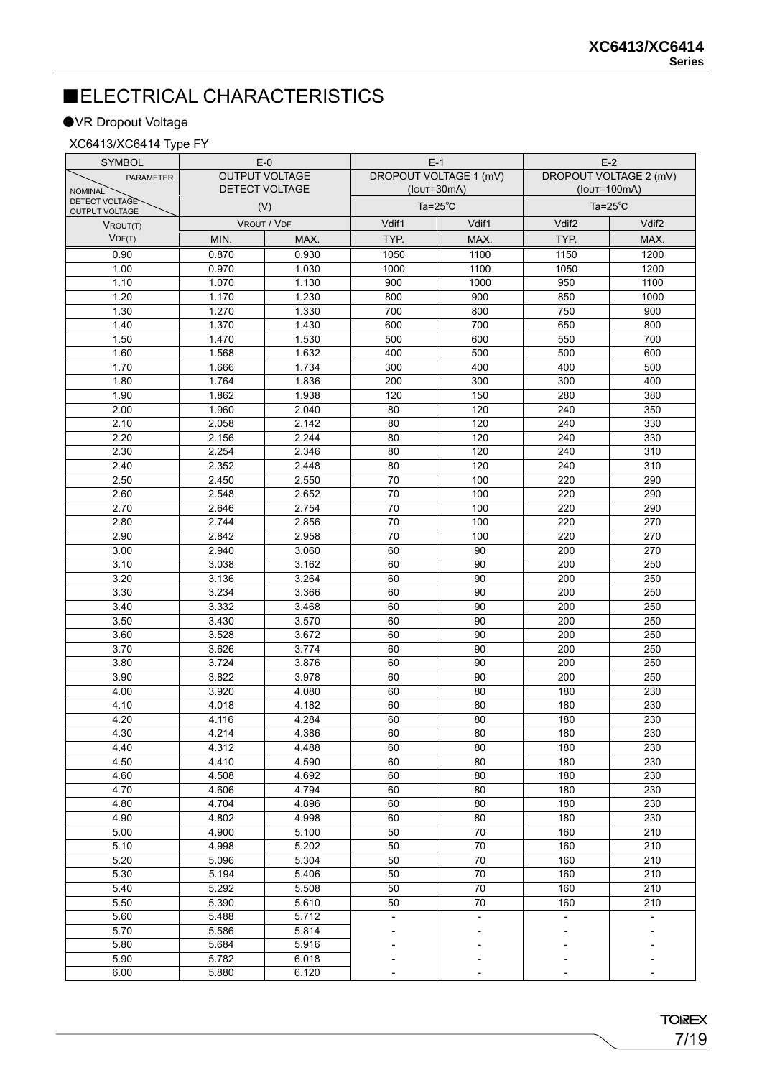## ■ELECTRICAL CHARACTERISTICS

#### ●VR Dropout Voltage

#### XC6413/XC6414 Type FY

| <b>SYMBOL</b>                           | $E-0$                 |                | $E-1$                         |                          | $E-2$                  |                   |
|-----------------------------------------|-----------------------|----------------|-------------------------------|--------------------------|------------------------|-------------------|
| <b>PARAMETER</b>                        | <b>OUTPUT VOLTAGE</b> |                | <b>DROPOUT VOLTAGE 1 (mV)</b> |                          | DROPOUT VOLTAGE 2 (mV) |                   |
| <b>NOMINAL</b>                          |                       | DETECT VOLTAGE |                               | $($ lou $\tau$ =30mA)    | $(IoUT=100mA)$         |                   |
| DETECT VOLTAGE<br><b>OUTPUT VOLTAGE</b> |                       | (V)            | Ta= $25^{\circ}$ C            |                          | Ta= $25^{\circ}$ C     |                   |
| VROUT(T)                                |                       | VROUT / VDF    | Vdif1                         | Vdif1                    | Vdif <sub>2</sub>      | Vdif <sub>2</sub> |
| VDF(T)                                  | MIN.                  | MAX.           | TYP.                          | MAX.                     | TYP.                   | MAX.              |
| 0.90                                    | 0.870                 | 0.930          | 1050                          | 1100                     | 1150                   | 1200              |
| 1.00                                    | 0.970                 | 1.030          | 1000                          | 1100                     | 1050                   | 1200              |
| 1.10                                    | 1.070                 | 1.130          | 900                           | 1000                     | 950                    | 1100              |
| 1.20                                    | 1.170                 | 1.230          | 800                           | 900                      | 850                    | 1000              |
| 1.30                                    | 1.270                 | 1.330          | 700                           | 800                      | 750                    | 900               |
| 1.40                                    | 1.370                 | 1.430          | 600                           | 700                      | 650                    | 800               |
| 1.50                                    | 1.470                 | 1.530          | 500                           | 600                      | 550                    | 700               |
| 1.60                                    | 1.568                 | 1.632          | 400                           | 500                      | 500                    | 600               |
| 1.70                                    | 1.666                 | 1.734          | 300                           | 400                      | 400                    | 500               |
| 1.80                                    | 1.764                 | 1.836          | 200                           | 300                      | 300                    | 400               |
| 1.90                                    | 1.862                 | 1.938          | 120                           | 150                      | 280                    | 380               |
| 2.00                                    | 1.960                 | 2.040          | 80                            | 120                      | 240                    | 350               |
| 2.10                                    | 2.058                 | 2.142          | 80                            | 120                      | 240                    | 330               |
| 2.20                                    | 2.156                 | 2.244          | 80                            | 120                      | 240                    | 330               |
| 2.30                                    | 2.254                 | 2.346          | 80                            | 120                      | 240                    | 310               |
| 2.40                                    | 2.352                 | 2.448          | 80                            | 120                      | 240                    | 310               |
| 2.50                                    | 2.450                 | 2.550          | $\overline{70}$               | 100                      | 220                    | 290               |
| 2.60                                    | 2.548                 | 2.652          | 70                            | 100                      | 220                    | 290               |
| 2.70                                    | 2.646                 | 2.754          | 70                            | 100                      | 220                    | 290               |
| 2.80                                    | 2.744                 | 2.856          | 70                            | 100                      | 220                    | 270               |
| 2.90                                    | 2.842                 | 2.958          | 70                            | 100                      | 220                    | 270               |
| 3.00                                    | 2.940                 | 3.060          | 60                            | 90                       | 200                    | 270               |
| 3.10                                    | 3.038                 | 3.162          | 60                            | 90                       | 200                    | 250               |
| 3.20                                    | 3.136                 | 3.264          | 60                            | 90                       | 200                    | 250               |
| 3.30                                    | 3.234                 | 3.366          | 60                            | 90                       | 200                    | 250               |
| 3.40                                    | 3.332                 | 3.468          | 60                            | 90                       | 200                    | 250               |
| 3.50                                    | 3.430                 | 3.570          | 60                            | 90                       | 200                    | 250               |
| 3.60                                    | 3.528                 | 3.672          | 60                            | $\overline{90}$          | 200                    | 250               |
| 3.70                                    | 3.626                 | 3.774          | 60                            | 90                       | 200                    | 250               |
| 3.80                                    | 3.724                 | 3.876          | 60                            | 90                       | 200                    | 250               |
| 3.90                                    | 3.822                 | 3.978          | 60                            | 90                       | 200                    | 250               |
| 4.00                                    | 3.920                 | 4.080          | 60                            | 80                       | 180                    | 230               |
| 4.10                                    | 4.018                 | 4.182          | 60                            | 80                       | 180                    | 230               |
| 4.20                                    | 4.116                 | 4.284          | 60                            | 80                       | 180                    | 230               |
| 4.30                                    | 4.214                 | 4.386          | 60                            | 80                       | 180                    | 230               |
| 4.40                                    | 4.312                 | 4.488          | 60                            | 80                       | 180                    | 230               |
| 4.50                                    | 4.410                 | 4.590          | 60                            | 80                       | 180                    | 230               |
| 4.60                                    | 4.508                 | 4.692          | 60                            | 80                       | 180                    | 230               |
| 4.70                                    | 4.606                 | 4.794          | 60                            | 80                       | 180                    | 230               |
| 4.80                                    | 4.704                 | 4.896          | 60                            | 80                       | 180                    | 230               |
| 4.90                                    | 4.802                 | 4.998          | 60                            | 80                       | 180                    | 230               |
| 5.00                                    | 4.900                 | 5.100          | 50                            | 70                       | 160                    | 210               |
| 5.10                                    | 4.998                 | 5.202          | 50                            | 70                       | 160                    | 210               |
| 5.20                                    | 5.096                 | 5.304          | 50                            | 70                       | 160                    | 210               |
| 5.30                                    | 5.194                 | 5.406          | 50                            | 70                       | 160                    | 210               |
| 5.40                                    | 5.292                 | 5.508          | 50                            | 70                       | 160                    | 210               |
| 5.50                                    | 5.390                 | 5.610          | 50                            | 70                       | 160                    | 210               |
| 5.60                                    | 5.488                 | 5.712          |                               | $\overline{\phantom{a}}$ |                        |                   |
| 5.70                                    | 5.586                 | 5.814          |                               |                          |                        |                   |
| 5.80                                    | 5.684                 | 5.916          |                               |                          |                        |                   |
| 5.90                                    | 5.782                 | 6.018          |                               |                          |                        |                   |
| 6.00                                    | 5.880                 | 6.120          |                               |                          |                        |                   |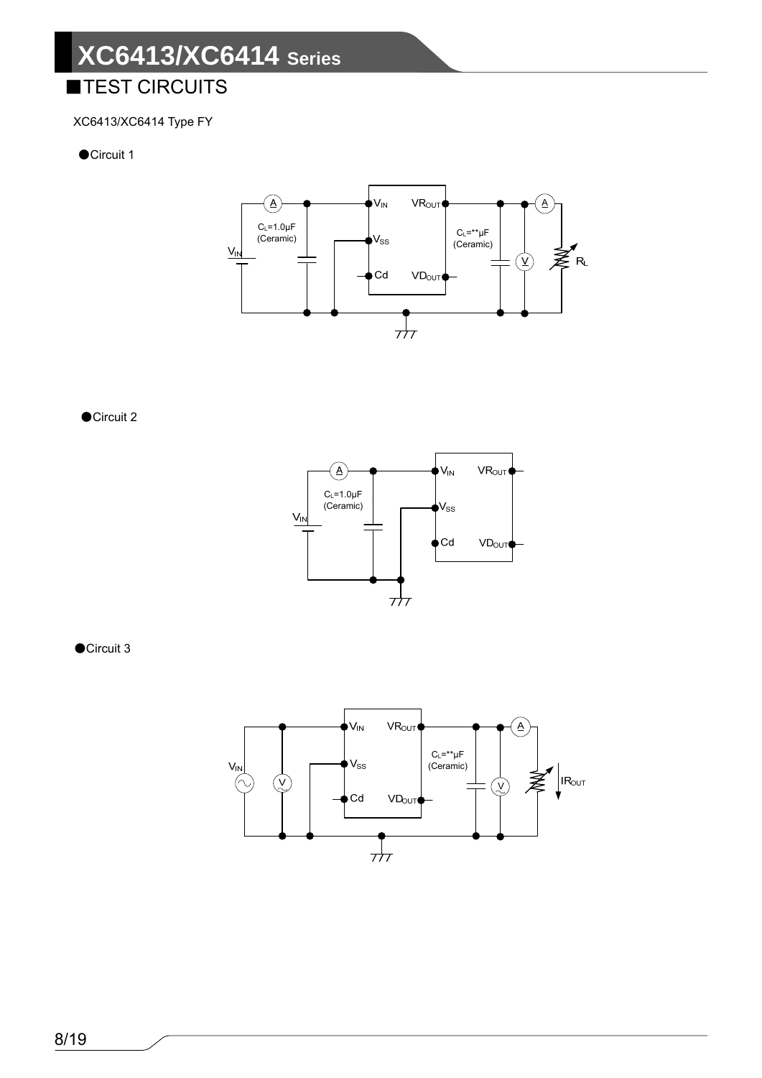## **TEST CIRCUITS**

#### XC6413/XC6414 Type FY

#### ●Circuit 1



●Circuit 2



●Circuit 3

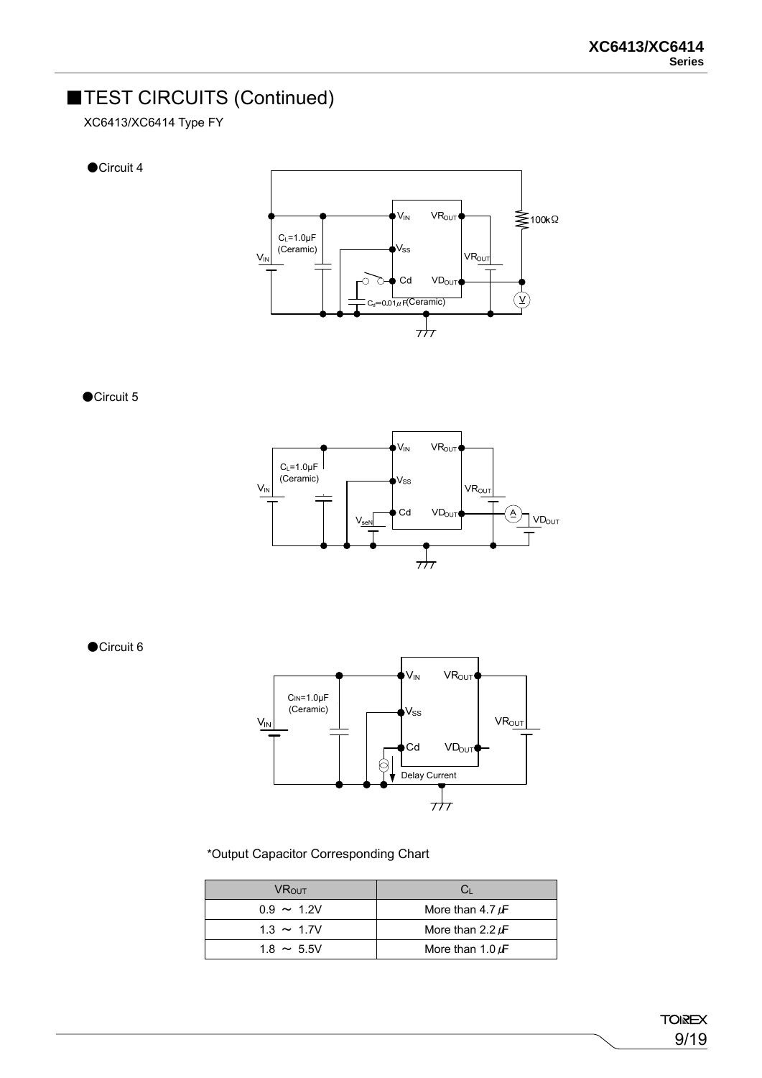## ■TEST CIRCUITS (Continued)

XC6413/XC6414 Type FY

●Circuit 4



●Circuit 5



●Circuit 6



\*Output Capacitor Corresponding Chart

| <b>VR</b> out   |                       |
|-----------------|-----------------------|
| $0.9 \sim 1.2V$ | More than 4.7 $\mu$ F |
| $1.3 \sim 1.7V$ | More than 2.2 $\mu$ F |
| $1.8 \sim 5.5V$ | More than 1.0 $\mu$ F |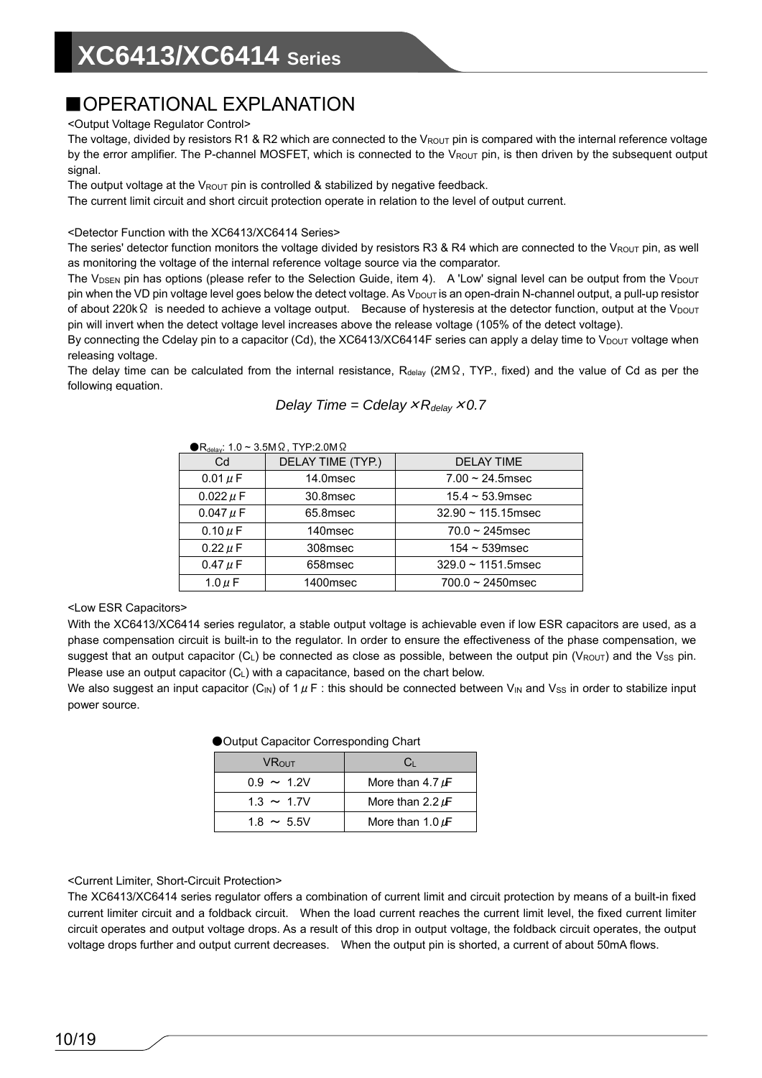### ■OPERATIONAL EXPLANATION

<Output Voltage Regulator Control>

The voltage, divided by resistors R1 & R2 which are connected to the VROUT pin is compared with the internal reference voltage by the error amplifier. The P-channel MOSFET, which is connected to the VROUT pin, is then driven by the subsequent output signal.

The output voltage at the  $V_{\text{ROUT}}$  pin is controlled & stabilized by negative feedback.

The current limit circuit and short circuit protection operate in relation to the level of output current.

<Detector Function with the XC6413/XC6414 Series>

The series' detector function monitors the voltage divided by resistors R3 & R4 which are connected to the VROUT pin, as well as monitoring the voltage of the internal reference voltage source via the comparator.

The V<sub>DSEN</sub> pin has options (please refer to the Selection Guide, item 4). A 'Low' signal level can be output from the V<sub>DOUT</sub> pin when the VD pin voltage level goes below the detect voltage. As V<sub>DOUT</sub> is an open-drain N-channel output, a pull-up resistor of about 220kΩ is needed to achieve a voltage output. Because of hysteresis at the detector function, output at the V<sub>DOUT</sub> pin will invert when the detect voltage level increases above the release voltage (105% of the detect voltage).

By connecting the Cdelay pin to a capacitor (Cd), the XC6413/XC6414F series can apply a delay time to  $V_{\text{DOUT}}$  voltage when releasing voltage.

The delay time can be calculated from the internal resistance, Rdelay (2MΩ, TYP., fixed) and the value of Cd as per the following equation.

| Delay Time = Cdelay $xR_{delay} \times 0.7$ |  |  |
|---------------------------------------------|--|--|
|---------------------------------------------|--|--|

| $\bigcirc R_{\text{delay}}$ : 1.0 ~ 3.5M $\Omega$ , TYP:2.0M $\Omega$ |                   |                          |  |  |  |
|-----------------------------------------------------------------------|-------------------|--------------------------|--|--|--|
| Cd                                                                    | DELAY TIME (TYP.) | <b>DELAY TIME</b>        |  |  |  |
| 0.01 $\mu$ F                                                          | 14.0msec          | $7.00 \sim 24.5$ msec    |  |  |  |
| $0.022 \mu F$                                                         | 30.8msec          | $15.4 \sim 53.9$ msec    |  |  |  |
| $0.047 \mu F$                                                         | 65.8msec          | $32.90 \sim 115.15$ msec |  |  |  |
| 0.10 $\mu$ F                                                          | 140msec           | $70.0 \sim 245$ msec     |  |  |  |
| $0.22 \mu F$                                                          | 308msec           | $154 \sim 539$ msec      |  |  |  |
| 0.47 $\mu$ F                                                          | 658msec           | $329.0 \sim 1151.5$ msec |  |  |  |
| 1.0 $\mu$ F                                                           | 1400msec          | $700.0 \sim 2450$ msec   |  |  |  |

<Low ESR Capacitors>

With the XC6413/XC6414 series regulator, a stable output voltage is achievable even if low ESR capacitors are used, as a phase compensation circuit is built-in to the regulator. In order to ensure the effectiveness of the phase compensation, we suggest that an output capacitor (CL) be connected as close as possible, between the output pin (VROUT) and the Vss pin. Please use an output capacitor (C<sub>L</sub>) with a capacitance, based on the chart below.

We also suggest an input capacitor (C<sub>IN</sub>) of  $1 \mu$  F: this should be connected between V<sub>IN</sub> and V<sub>SS</sub> in order to stabilize input power source.

| $\bullet$ capacities conceptioning change |                       |  |  |
|-------------------------------------------|-----------------------|--|--|
| <b>VR</b> out                             | C <sub>1</sub>        |  |  |
| $0.9 \sim 1.2V$                           | More than 4.7 $\mu$ F |  |  |
| $1.3 \sim 1.7V$                           | More than 2.2 $\mu$ F |  |  |
| $1.8 \sim 5.5$ V                          | More than 1.0 $\mu$ F |  |  |

●Output Capacitor Corresponding Chart

<Current Limiter, Short-Circuit Protection>

The XC6413/XC6414 series regulator offers a combination of current limit and circuit protection by means of a built-in fixed current limiter circuit and a foldback circuit. When the load current reaches the current limit level, the fixed current limiter circuit operates and output voltage drops. As a result of this drop in output voltage, the foldback circuit operates, the output voltage drops further and output current decreases. When the output pin is shorted, a current of about 50mA flows.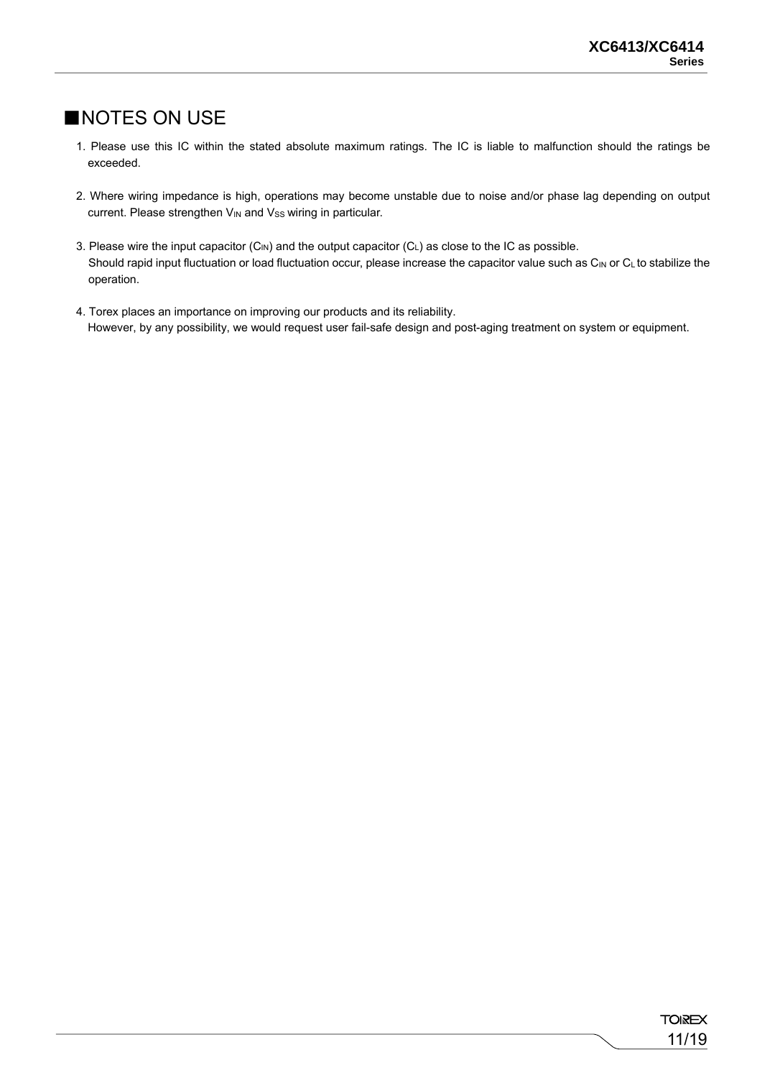### ■NOTES ON USE

- 1. Please use this IC within the stated absolute maximum ratings. The IC is liable to malfunction should the ratings be exceeded.
- 2. Where wiring impedance is high, operations may become unstable due to noise and/or phase lag depending on output current. Please strengthen V<sub>IN</sub> and V<sub>SS</sub> wiring in particular.
- 3. Please wire the input capacitor  $(C_{IN})$  and the output capacitor  $(C_L)$  as close to the IC as possible. Should rapid input fluctuation or load fluctuation occur, please increase the capacitor value such as  $C_{\text{IN}}$  or  $C_{\text{L}}$  to stabilize the operation.
- 4. Torex places an importance on improving our products and its reliability. However, by any possibility, we would request user fail-safe design and post-aging treatment on system or equipment.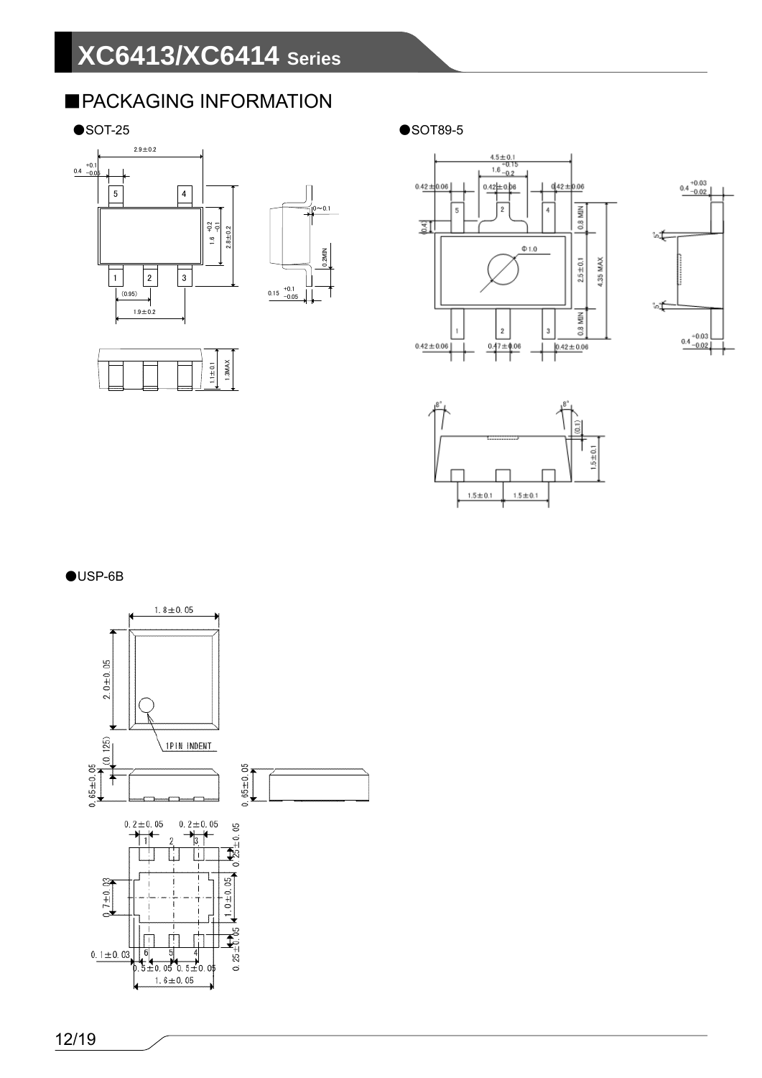## ■PACKAGING INFORMATION









 $\bullet$ SOT-25  $\bullet$ SOT89-5







●USP-6B

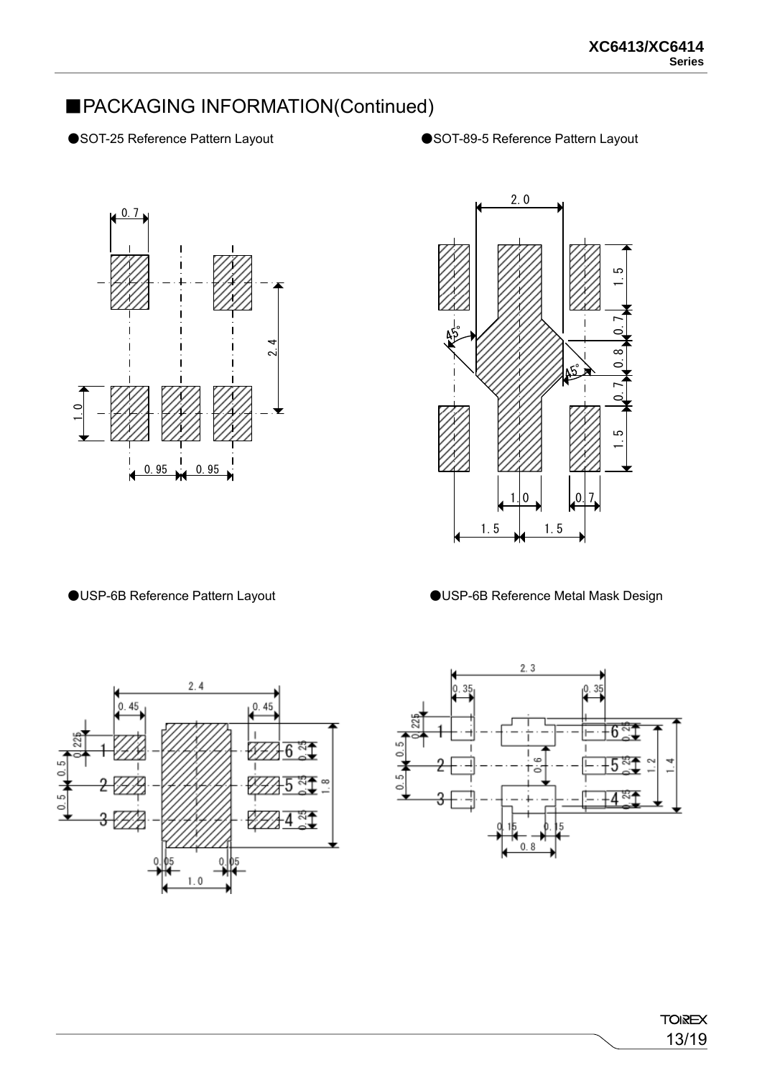### ■PACKAGING INFORMATION(Continued)

- 
- ●SOT-25 Reference Pattern Layout ●SOT-89-5 Reference Pattern Layout





●USP-6B Reference Pattern Layout ●USP-6B Reference Metal Mask Design



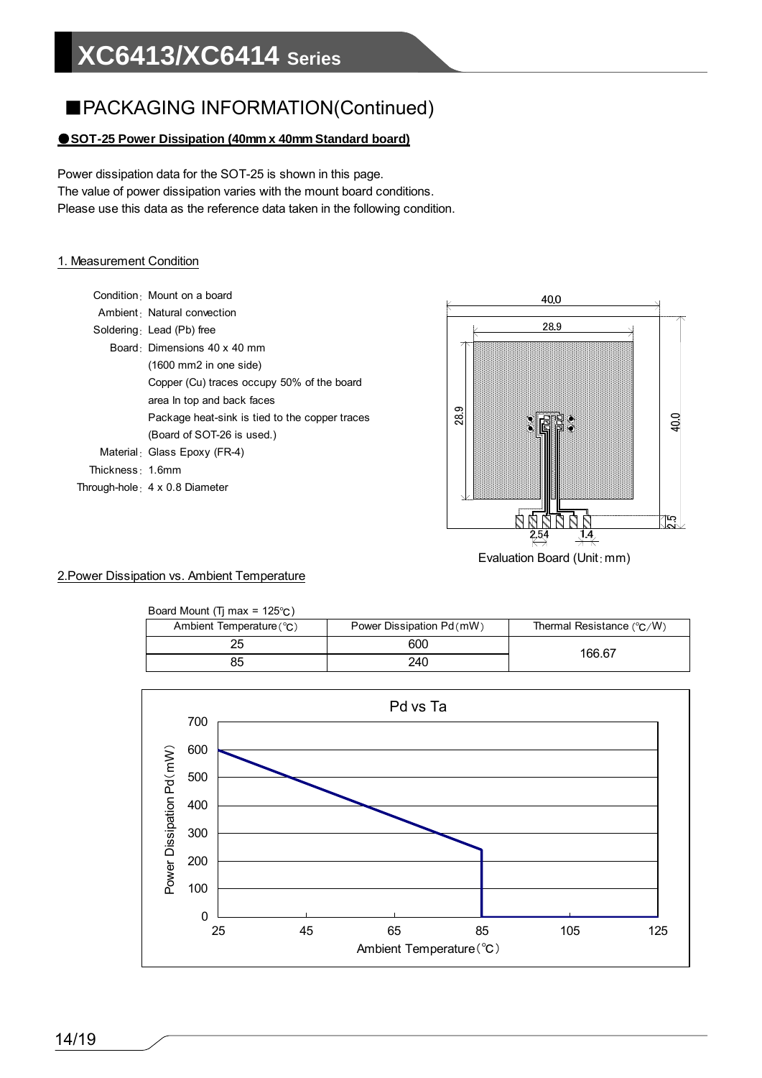### ■PACKAGING INFORMATION(Continued)

#### ●**SOT-25 Power Dissipation (40mm x 40mm Standard board)**

Power dissipation data for the SOT-25 is shown in this page. The value of power dissipation varies with the mount board conditions. Please use this data as the reference data taken in the following condition.

#### 1. Measurement Condition

- Condition: Mount on a board
- Ambient: Natural convection
- Soldering: Lead (Pb) free
	- Board: Dimensions 40 x 40 mm (1600 mm2 in one side)
		- Copper (Cu) traces occupy 50% of the board
		- area In top and back faces
		- Package heat-sink is tied to the copper traces
		- (Board of SOT-26 is used.)
- Material: Glass Epoxy (FR-4)
- Thickness: 1.6mm
- Through-hole: 4 x 0.8 Diameter



#### 2.Power Dissipation vs. Ambient Temperature

| Board Mount (Ti max = $125^{\circ}$ C) |                           |                                    |
|----------------------------------------|---------------------------|------------------------------------|
| Ambient Temperature (°C)               | Power Dissipation Pd (mW) | Thermal Resistance $(^{\circ}C/W)$ |
|                                        | 600                       | 166.67                             |
| 85                                     | 240                       |                                    |

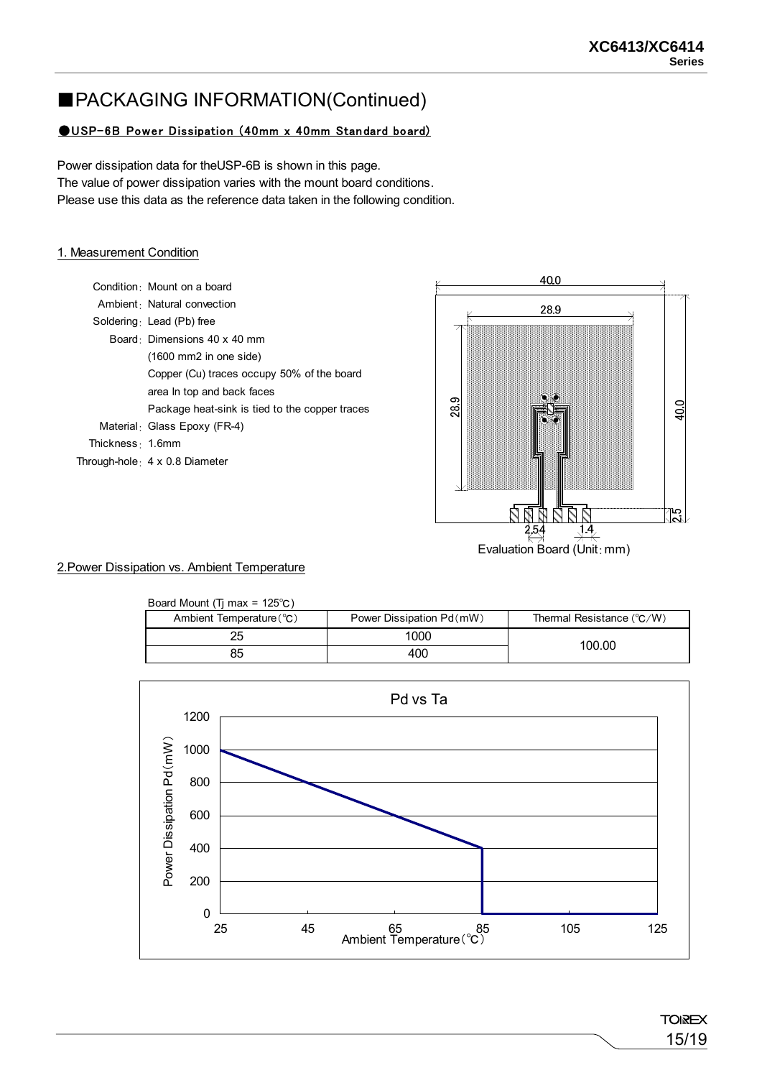### ■PACKAGING INFORMATION(Continued)

#### **OUSP-6B Power Dissipation (40mm x 40mm Standard board)**

Power dissipation data for theUSP-6B is shown in this page. The value of power dissipation varies with the mount board conditions. Please use this data as the reference data taken in the following condition.

#### 1. Measurement Condition

|                   | Condition Mount on a board                     |
|-------------------|------------------------------------------------|
|                   | Ambient Natural convection                     |
|                   | Soldering $\cdot$ Lead (Pb) free               |
|                   | Board Dimensions 40 x 40 mm                    |
|                   | $(1600 \text{ mm2}$ in one side)               |
|                   | Copper (Cu) traces occupy 50% of the board     |
|                   | area in top and back faces                     |
|                   | Package heat-sink is tied to the copper traces |
|                   | Material: Glass Epoxy (FR-4)                   |
| Thickness : 1.6mm |                                                |
|                   | Through-hole $\frac{1}{2}$ 4 x 0.8 Diameter    |
|                   |                                                |



#### 2.Power Dissipation vs. Ambient Temperature

| Board Mount (Ti max = $125^{\circ}$ C)                  |      |                                    |  |  |
|---------------------------------------------------------|------|------------------------------------|--|--|
| Power Dissipation Pd (mW)<br>Ambient Temperature $(°C)$ |      | Thermal Resistance $(^{\circ}C/W)$ |  |  |
| 25                                                      | 1000 |                                    |  |  |
| 85                                                      | 400  | 100.00                             |  |  |



**TOIREX** 15/19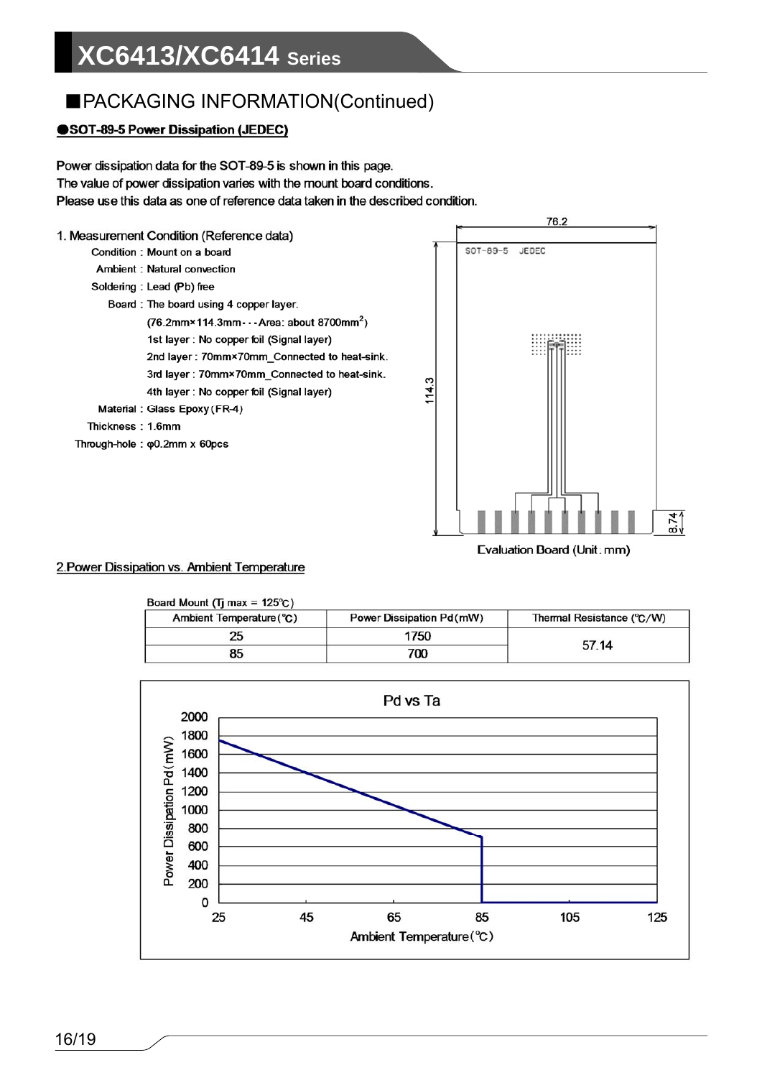## ■PACKAGING INFORMATION(Continued)

#### SOT-89-5 Power Dissipation (JEDEC)

Power dissipation data for the SOT-89-5 is shown in this page. The value of power dissipation varies with the mount board conditions. Please use this data as one of reference data taken in the described condition.



#### 2. Power Dissipation vs. Ambient Temperature

| Board Mount ( $\Pi$ max = 125°C) |                           |                           |  |
|----------------------------------|---------------------------|---------------------------|--|
| Ambient Temperature (°C)         | Power Dissipation Pd (mW) | Thermal Resistance (°C/W) |  |
| 25                               | 1750                      | 57.14                     |  |
| 85                               | 700                       |                           |  |
|                                  |                           |                           |  |

Evaluation Board (Unit: mm)

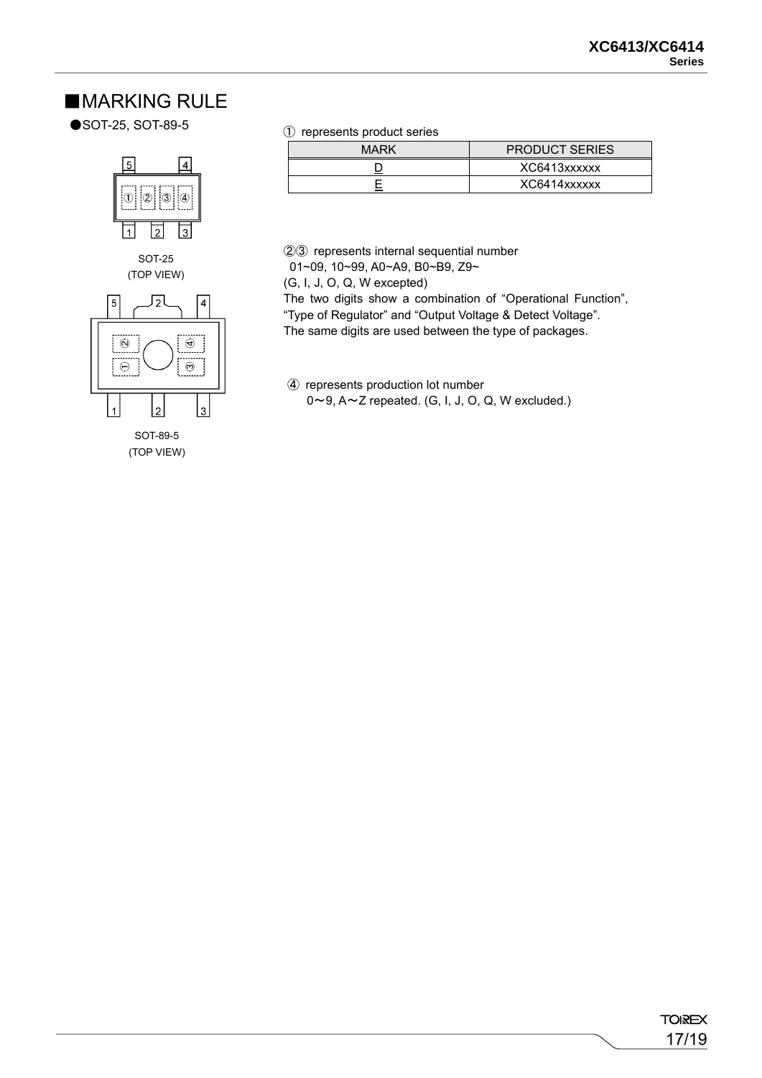#### ■**MARKING RULE**

●SOT-25, SOT-89-5





(TOP VIEW)

① represents product series

| MARK | <b>PRODUCT SERIES</b> |  |
|------|-----------------------|--|
|      | XC6413xxxxxx          |  |
|      | XC6414xxxxxx          |  |

②③ represents internal sequential number

01~09, 10~99, A0~A9, B0~B9, Z9~

(G, I, J, O, Q, W excepted)

The two digits show a combination of "Operational Function", "Type of Regulator" and "Output Voltage & Detect Voltage". The same digits are used between the type of packages.

④ represents production lot number  $0 \sim 9$ ,  $A \sim Z$  repeated. (G, I, J, O, Q, W excluded.)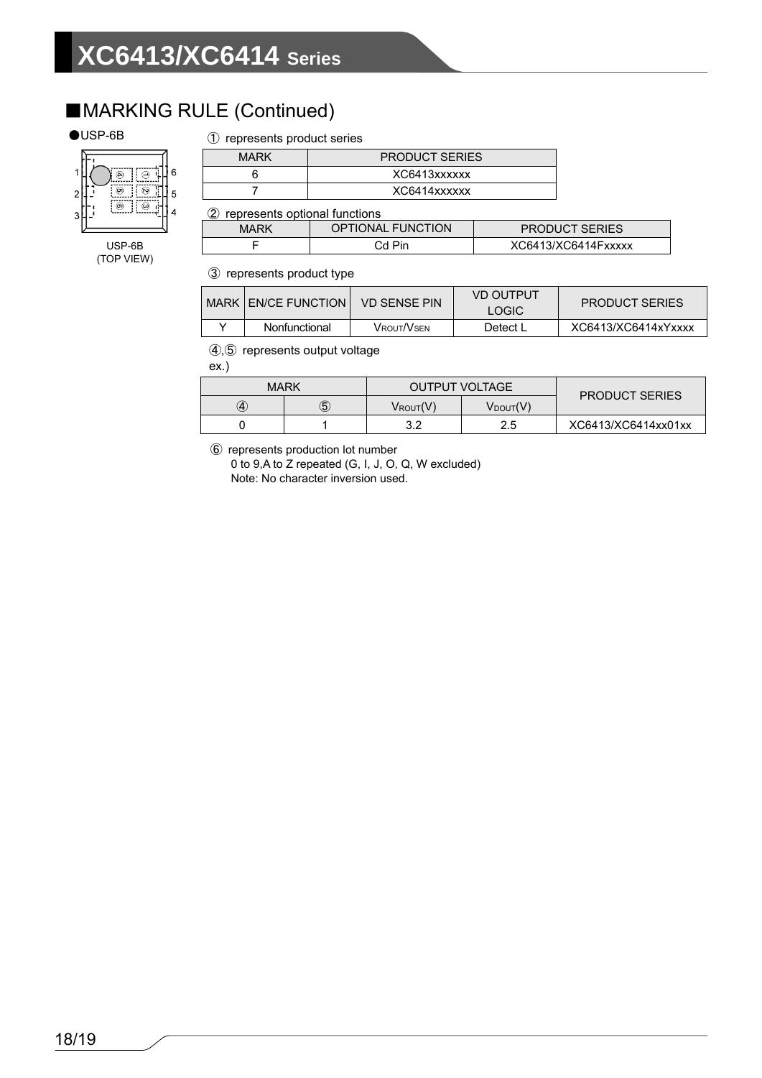### ■MARKING RULE (Continued)

#### ●USP-6B

#### ① represents product series



USP-6B (TOP VIEW)

| XC6413xxxxxx | <b>PRODUCT SERIES</b> |  |  |
|--------------|-----------------------|--|--|
|              |                       |  |  |
| XC6414xxxxxx |                       |  |  |

② represents optional functions

| $\sim$<br>---------------------<br><b>OPTIONAL FUNCTION</b><br>MARK |        | <b>PRODUCT SERIES</b> |  |
|---------------------------------------------------------------------|--------|-----------------------|--|
|                                                                     | ∩d Pin | XC6413/XC6414Fxxxxx   |  |

③ represents product type

|                             |               |            | VD OUTPUT             |                     |
|-----------------------------|---------------|------------|-----------------------|---------------------|
| <b>MARK LEN/CE FUNCTION</b> | VD SENSE PIN  | LOGIC      | <b>PRODUCT SERIES</b> |                     |
|                             | Nonfunctional | Vrout/Vsen | Detect L              | XC6413/XC6414xYxxxx |

④,⑤ represents output voltage

ex.)

| <b>MARK</b>       |   | <b>OUTPUT VOLTAGE</b> |                      | <b>PRODUCT SERIES</b> |
|-------------------|---|-----------------------|----------------------|-----------------------|
| $\left( 4\right)$ | 5 | $V_{ROUT}(V)$         | $V_{\text{DOUT}}(V)$ |                       |
|                   |   | າ າ                   | 2.5                  | XC6413/XC6414xx01xx   |

⑥ represents production lot number

0 to 9,A to Z repeated (G, I, J, O, Q, W excluded) Note: No character inversion used.